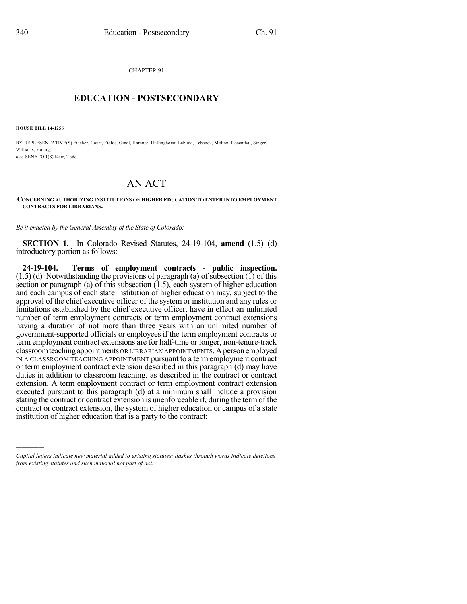CHAPTER 91

## $\overline{\phantom{a}}$  . The set of the set of the set of the set of the set of the set of the set of the set of the set of the set of the set of the set of the set of the set of the set of the set of the set of the set of the set o **EDUCATION - POSTSECONDARY**  $\_$   $\_$   $\_$   $\_$   $\_$   $\_$   $\_$   $\_$   $\_$

**HOUSE BILL 14-1256**

)))))

BY REPRESENTATIVE(S) Fischer, Court, Fields, Ginal, Hamner, Hullinghorst, Labuda, Lebsock, Melton, Rosenthal, Singer, Williams, Young; also SENATOR(S) Kerr, Todd.

## AN ACT

## **CONCERNING AUTHORIZING INSTITUTIONS OF HIGHER EDUCATION TO ENTER INTO EMPLOYMENT CONTRACTS FOR LIBRARIANS.**

*Be it enacted by the General Assembly of the State of Colorado:*

**SECTION 1.** In Colorado Revised Statutes, 24-19-104, **amend** (1.5) (d) introductory portion as follows:

**24-19-104. Terms of employment contracts - public inspection.**  $(1.5)$  (d) Notwithstanding the provisions of paragraph (a) of subsection  $(1)$  of this section or paragraph (a) of this subsection  $(1.5)$ , each system of higher education and each campus of each state institution of higher education may, subject to the approval of the chief executive officer of the system or institution and any rules or limitations established by the chief executive officer, have in effect an unlimited number of term employment contracts or term employment contract extensions having a duration of not more than three years with an unlimited number of government-supported officials or employees if the term employment contracts or term employment contract extensions are for half-time or longer, non-tenure-track classroom teaching appointments OR LIBRARIAN APPOINTMENTS. A person employed IN A CLASSROOM TEACHING APPOINTMENT pursuant to a term employment contract or term employment contract extension described in this paragraph (d) may have duties in addition to classroom teaching, as described in the contract or contract extension. A term employment contract or term employment contract extension executed pursuant to this paragraph (d) at a minimum shall include a provision stating the contract or contract extension is unenforceable if, during the termof the contract or contract extension, the system of higher education or campus of a state institution of higher education that is a party to the contract:

*Capital letters indicate new material added to existing statutes; dashes through words indicate deletions from existing statutes and such material not part of act.*